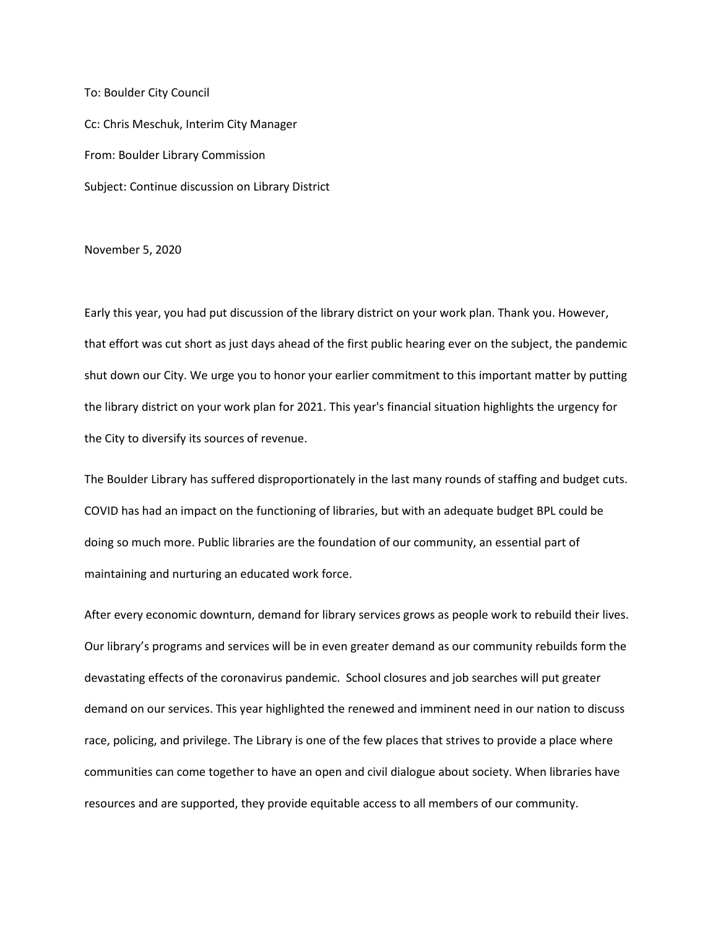To: Boulder City Council Cc: Chris Meschuk, Interim City Manager From: Boulder Library Commission Subject: Continue discussion on Library District

## November 5, 2020

Early this year, you had put discussion of the library district on your work plan. Thank you. However, that effort was cut short as just days ahead of the first public hearing ever on the subject, the pandemic shut down our City. We urge you to honor your earlier commitment to this important matter by putting the library district on your work plan for 2021. This year's financial situation highlights the urgency for the City to diversify its sources of revenue.

The Boulder Library has suffered disproportionately in the last many rounds of staffing and budget cuts. COVID has had an impact on the functioning of libraries, but with an adequate budget BPL could be doing so much more. Public libraries are the foundation of our community, an essential part of maintaining and nurturing an educated work force.

After every economic downturn, demand for library services grows as people work to rebuild their lives. Our library's programs and services will be in even greater demand as our community rebuilds form the devastating effects of the coronavirus pandemic. School closures and job searches will put greater demand on our services. This year highlighted the renewed and imminent need in our nation to discuss race, policing, and privilege. The Library is one of the few places that strives to provide a place where communities can come together to have an open and civil dialogue about society. When libraries have resources and are supported, they provide equitable access to all members of our community.